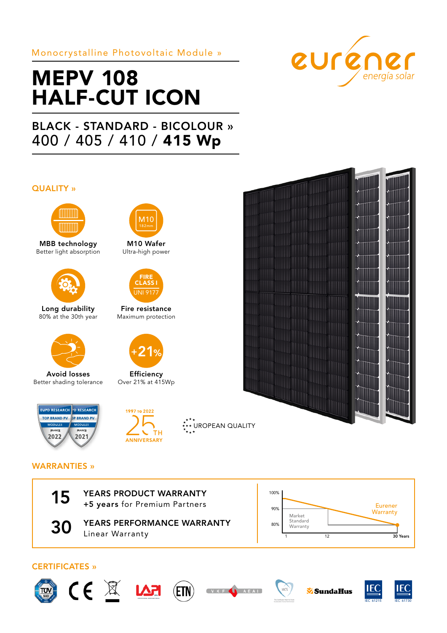# Monocrystalline Photovoltaic Module »

# MEPV 108 HALF-CUT ICON

# BLACK - STANDARD - BICOLOUR » 400 / 405 / 410 / 415 Wp

### QUALITY »



MBB technology Better light absorption



Long durability 80% at the 30th year



Avoid losses Better shading tolerance





**Efficiency** Over 21% at 415Wp

M10 Wafer Ultra-high power

**M10** 

Fire resistance Maximum protection

FIRE CLASS I INI 91



# WARRANTIES »



15 YEARS PRODUCT WARRANTY<br>+5 years for Premium Partners

**30 YEARS PERFORMANCE WARRANTY** Linear Warranty <sup>1</sup>



## CERTIFICATES »